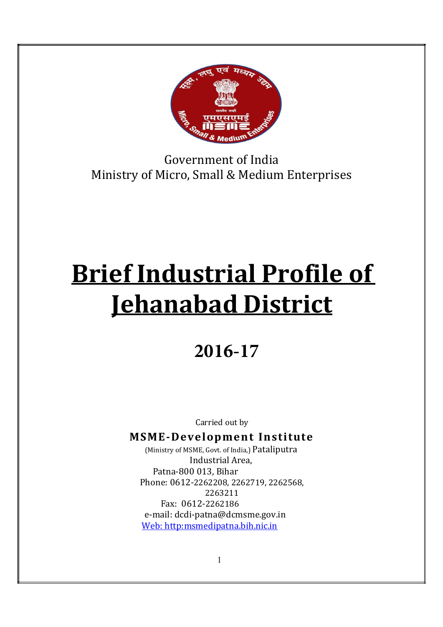

Government of India Ministry of Micro, Small & Medium Enterprises

# Brief Industrial Profile of Jehanabad District

# **2016-17**

Carried out by

### MSME-Development Institute

(Ministry of MSME, Govt. of India,) Pataliputra Industrial Area, Patna-800 013, Bihar Phone: 0612-2262208, 2262719, 2262568, 2263211 Fax: 0612-2262186 e-mail: dcdi-patna@dcmsme.gov.in Web: http:msmedipatna.bih.nic.in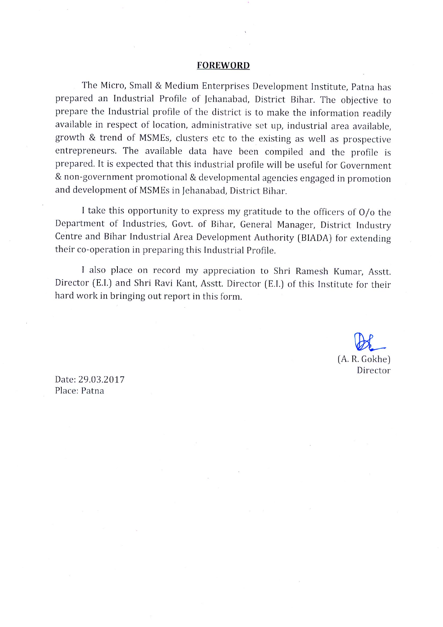#### **FOREWORD**

The Micro, Small & Medium Enterprises Development Institute, Patna has prepared an Industrial Profile of Jehanabad, District Bihar. The objective to prepare the Industrial profile of the district is to make the information readily available in respect of location, administrative set up, industrial area available, growth & trend of MSMEs, clusters etc to the existing as well as prospective entrepreneurs. The available data have been compiled and the profile is prepared. It is expected that this industrial profile will be useful for Government & non-government promotional & developmental agencies engaged in promotion and development of MSMEs in Jehanabad, District Bihar.

I take this opportunity to express my gratitude to the officers of  $O/\sigma$  the Department of Industries, Govt. of Bihar, General Manager, District Industry Centre and Bihar Industrial Area Development Authority (BIADA) for extending their co-operation in preparing this Industrial Profile.

I also place on record my appreciation to Shri Ramesh Kumar, Asstt. Director (E.I.) and Shri Ravi Kant, Asstt. Director (E.I.) of this Institute for their hard work in bringing out report in this form.

> (A. R. Gokhe) Director

Date: 29.03.2017 Place: Patna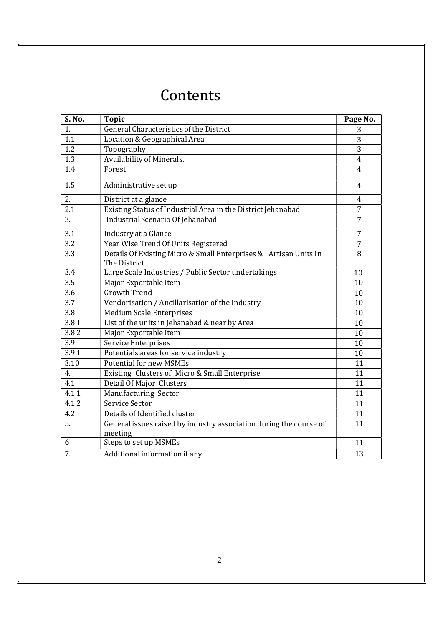# Contents

| S. No.           | <b>Topic</b>                                                                  | Page No.       |
|------------------|-------------------------------------------------------------------------------|----------------|
| 1.               | General Characteristics of the District                                       | 3              |
| 1.1              | Location & Geographical Area                                                  | 3              |
| 1.2              | Topography                                                                    | 3              |
| $\overline{1.3}$ | Availability of Minerals.                                                     | $\overline{4}$ |
| 1.4              | Forest                                                                        | 4              |
| 1.5              | Administrative set up                                                         | 4              |
| 2.               | District at a glance                                                          | 4              |
| $\overline{2.1}$ | Existing Status of Industrial Area in the District Jehanabad                  | $\overline{7}$ |
| $\overline{3}$ . | Industrial Scenario Of Jehanabad                                              | $\overline{7}$ |
| $\overline{3.1}$ | Industry at a Glance                                                          | $\overline{7}$ |
| $\overline{3.2}$ | Year Wise Trend Of Units Registered                                           | $\overline{7}$ |
| $\overline{3.3}$ | Details Of Existing Micro & Small Enterprises & Artisan Units In              | $\overline{8}$ |
|                  | The District                                                                  |                |
| 3.4              | Large Scale Industries / Public Sector undertakings                           | 10             |
| $\overline{3.5}$ | Major Exportable Item                                                         | 10             |
| $\overline{3.6}$ | <b>Growth Trend</b>                                                           | 10             |
| $\overline{3.7}$ | Vendorisation / Ancillarisation of the Industry                               | 10             |
| 3.8              | <b>Medium Scale Enterprises</b>                                               | 10             |
| 3.8.1            | List of the units in Jehanabad & near by Area                                 | 10             |
| 3.8.2            | Major Exportable Item                                                         | 10             |
| $\overline{3.9}$ | Service Enterprises                                                           | 10             |
| 3.9.1            | Potentials areas for service industry                                         | 10             |
| 3.10             | <b>Potential for new MSMEs</b>                                                | 11             |
| 4.               | Existing Clusters of Micro & Small Enterprise                                 | 11             |
| 4.1              | Detail Of Major Clusters                                                      | 11             |
| 4.1.1            | Manufacturing Sector                                                          | 11             |
| 4.1.2            | Service Sector                                                                | 11             |
| 4.2              | Details of Identified cluster                                                 | 11             |
| $\overline{5}$ . | General issues raised by industry association during the course of<br>meeting | 11             |
| 6                | Steps to set up MSMEs                                                         | 11             |
| $\overline{7}$ . | Additional information if any                                                 | 13             |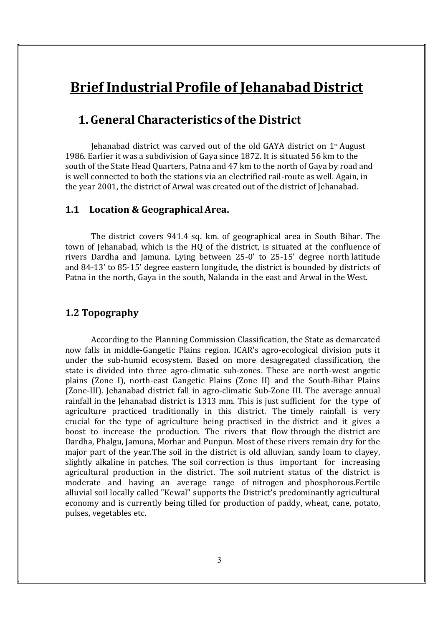# Brief Industrial Profile of Jehanabad District

#### 1. General Characteristics of the District

Jehanabad district was carved out of the old GAYA district on  $1<sup>*</sup>$  August 1986. Earlier it was a subdivision of Gaya since 1872. It is situated 56 km to the south of the State Head Quarters, Patna and 47 km to the north of Gaya by road and is well connected to both the stations via an electrified rail-route as well. Again, in the year 2001, the district of Arwal was created out of the district of Jehanabad.

#### 1.1 Location & Geographical Area.

The district covers 941.4 sq. km. of geographical area in South Bihar. The town of Jehanabad, which is the HQ of the district, is situated at the confluence of rivers Dardha and Jamuna. Lying between 25-0' to 25-15' degree north latitude and 84-13' to 85-15' degree eastern longitude, the district is bounded by districts of Patna in the north, Gaya in the south, Nalanda in the east and Arwal in the West.

#### 1.2 Topography

According to the Planning Commission Classification, the State as demarcated now falls in middle-Gangetic Plains region. ICAR's agro-ecological division puts it under the sub-humid ecosystem. Based on more desagregated classification, the state is divided into three agro-climatic sub-zones. These are north-west angetic plains (Zone I), north-east Gangetic Plains (Zone II) and the South-Bihar Plains (Zone-III). Jehanabad district fall in agro-climatic Sub-Zone III. The average annual rainfall in the Jehanabad district is 1313 mm. This is just sufficient for the type of agriculture practiced traditionally in this district. The timely rainfall is very crucial for the type of agriculture being practised in the district and it gives a boost to increase the production. The rivers that flow through the district are Dardha, Phalgu, Jamuna, Morhar and Punpun. Most of these rivers remain dry for the major part of the year.The soil in the district is old alluvian, sandy loam to clayey, slightly alkaline in patches. The soil correction is thus important for increasing agricultural production in the district. The soil nutrient status of the district is moderate and having an average range of nitrogen and phosphorous.Fertile alluvial soil locally called "Kewal" supports the District's predominantly agricultural economy and is currently being tilled for production of paddy, wheat, cane, potato, pulses, vegetables etc.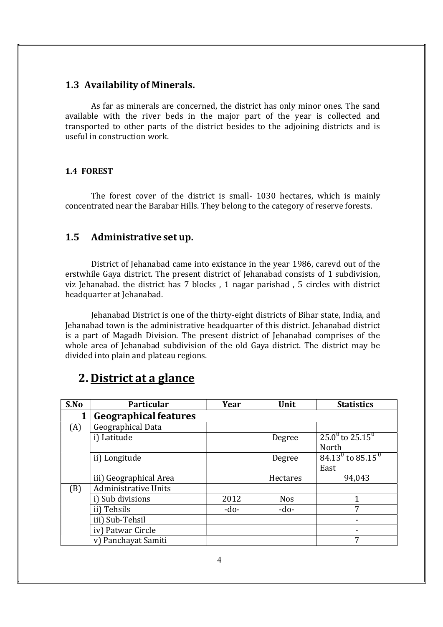#### 1.3 Availability of Minerals.

As far as minerals are concerned, the district has only minor ones. The sand available with the river beds in the major part of the year is collected and transported to other parts of the district besides to the adjoining districts and is useful in construction work.

#### 1.4 FOREST

The forest cover of the district is small- 1030 hectares, which is mainly concentrated near the Barabar Hills. They belong to the category of reserve forests.

#### 1.5 Administrative set up.

District of Jehanabad came into existance in the year 1986, carevd out of the erstwhile Gaya district. The present district of Jehanabad consists of 1 subdivision, viz Jehanabad. the district has 7 blocks , 1 nagar parishad , 5 circles with district headquarter at Jehanabad.

Jehanabad District is one of the thirty-eight districts of Bihar state, India, and Jehanabad town is the administrative headquarter of this district. Jehanabad district is a part of Magadh Division. The present district of Jehanabad comprises of the whole area of Jehanabad subdivision of the old Gaya district. The district may be divided into plain and plateau regions.

| S.No | Particular                   | Year   | Unit       | <b>Statistics</b>                  |
|------|------------------------------|--------|------------|------------------------------------|
|      | <b>Geographical features</b> |        |            |                                    |
| (A)  | Geographical Data            |        |            |                                    |
|      | i) Latitude                  |        | Degree     | $25.0^0$ to $25.15^0$              |
|      |                              |        |            | North                              |
|      | ii) Longitude                |        | Degree     | $84.13^{\circ}$ to $85.15^{\circ}$ |
|      |                              |        |            | East                               |
|      | iii) Geographical Area       |        | Hectares   | 94,043                             |
| (B)  | <b>Administrative Units</b>  |        |            |                                    |
|      | i) Sub divisions             | 2012   | <b>Nos</b> |                                    |
|      | ii) Tehsils                  | $-do-$ | $-do-$     | 7                                  |
|      | iii) Sub-Tehsil              |        |            |                                    |
|      | iv) Patwar Circle            |        |            |                                    |
|      | v) Panchayat Samiti          |        |            | 7                                  |

## 2. District at a glance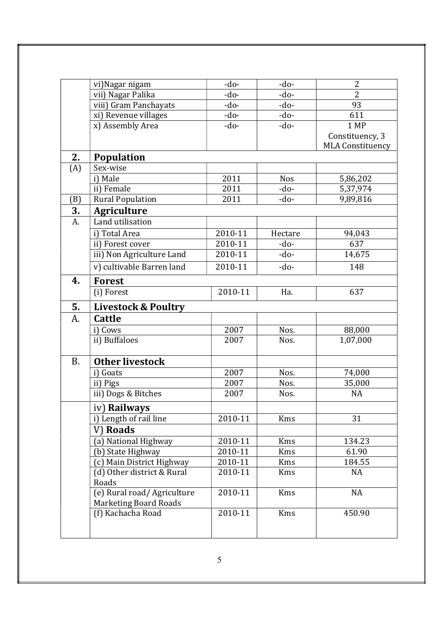|           | vi)Nagar nigam                          | $-do-$  | -do-       | $\overline{2}$          |
|-----------|-----------------------------------------|---------|------------|-------------------------|
|           | vii) Nagar Palika                       | -do-    | -do-       | $\overline{2}$          |
|           | viii) Gram Panchayats                   | -do-    | $-do-$     | 93                      |
|           | xi) Revenue villages                    | -do-    | -do-       | 611                     |
|           | x) Assembly Area                        | -do-    | -do-       | 1 MP                    |
|           |                                         |         |            | Constituency, 3         |
|           |                                         |         |            | <b>MLA Constituency</b> |
| 2.        | <b>Population</b>                       |         |            |                         |
| (A)       | Sex-wise                                |         |            |                         |
|           | i) Male                                 | 2011    | <b>Nos</b> | 5,86,202                |
|           | ii) Female                              | 2011    | -do-       | 5,37,974                |
| (B)       | <b>Rural Population</b>                 | 2011    | -do-       | 9,89,816                |
| 3.        | <b>Agriculture</b>                      |         |            |                         |
| A.        | Land utilisation                        |         |            |                         |
|           | i) Total Area                           | 2010-11 | Hectare    | 94,043                  |
|           | ii) Forest cover                        | 2010-11 | -do-       | 637                     |
|           | iii) Non Agriculture Land               | 2010-11 | -do-       | 14,675                  |
|           | $\overline{v}$ ) cultivable Barren land | 2010-11 | -do-       | 148                     |
| 4.        | <b>Forest</b>                           |         |            |                         |
|           | (i) Forest                              | 2010-11 | Ha.        | 637                     |
|           |                                         |         |            |                         |
| 5.        | <b>Livestock &amp; Poultry</b>          |         |            |                         |
| A.        | <b>Cattle</b>                           |         |            |                         |
|           | i) Cows                                 | 2007    | Nos.       | 88,000                  |
|           | ii) Buffaloes                           | 2007    | Nos.       | 1,07,000                |
|           |                                         |         |            |                         |
| <b>B.</b> | <b>Other livestock</b>                  |         |            |                         |
|           | i) Goats                                | 2007    | Nos.       | 74,000                  |
|           | ii) Pigs                                | 2007    | Nos.       | 35,000                  |
|           | iii) Dogs & Bitches                     | 2007    | Nos.       | <b>NA</b>               |
|           | iv) Railways                            |         |            |                         |
|           | i) Length of rail line                  | 2010-11 | Kms        | 31                      |
|           | V) Roads                                |         |            |                         |
|           | (a) National Highway                    | 2010-11 | Kms        | 134.23                  |
|           | (b) State Highway                       | 2010-11 | Kms        | 61.90                   |
|           | (c) Main District Highway               | 2010-11 | Kms        | 184.55                  |
|           | (d) Other district & Rural              | 2010-11 | Kms        | <b>NA</b>               |
|           | Roads                                   |         |            |                         |
|           | (e) Rural road/Agriculture              | 2010-11 | Kms        | <b>NA</b>               |
|           | <b>Marketing Board Roads</b>            |         |            |                         |
|           | (f) Kachacha Road                       | 2010-11 | Kms        | 450.90                  |
|           |                                         |         |            |                         |
|           |                                         |         |            |                         |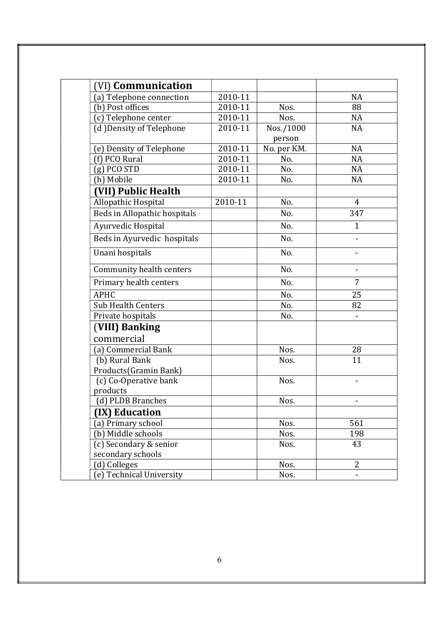| (VI) Communication           |         |             |                              |
|------------------------------|---------|-------------|------------------------------|
| (a) Telephone connection     | 2010-11 |             | <b>NA</b>                    |
| (b) Post offices             | 2010-11 | Nos.        | 88                           |
| (c) Telephone center         | 2010-11 | Nos.        | <b>NA</b>                    |
| (d) Density of Telephone     | 2010-11 | Nos./1000   | <b>NA</b>                    |
|                              |         | person      |                              |
| (e) Density of Telephone     | 2010-11 | No. per KM. | <b>NA</b>                    |
| (f) PCO Rural                | 2010-11 | No.         | <b>NA</b>                    |
| $(g)$ PCO STD                | 2010-11 | No.         | <b>NA</b>                    |
| (h) Mobile                   | 2010-11 | No.         | NA                           |
| (VII) Public Health          |         |             |                              |
| Allopathic Hospital          | 2010-11 | No.         | $\overline{4}$               |
| Beds in Allopathic hospitals |         | No.         | 347                          |
| Ayurvedic Hospital           |         | No.         | $\mathbf{1}$                 |
| Beds in Ayurvedic hospitals  |         | No.         |                              |
| Unani hospitals              |         | No.         |                              |
| Community health centers     |         | No.         |                              |
| Primary health centers       |         | No.         | $\overline{7}$               |
| <b>APHC</b>                  |         | No.         | 25                           |
| <b>Sub Health Centers</b>    |         | No.         | 82                           |
| Private hospitals            |         | No.         |                              |
| (VIII) Banking               |         |             |                              |
| commercial                   |         |             |                              |
| (a) Commercial Bank          |         | Nos.        | 28                           |
| (b) Rural Bank               |         | Nos.        | 11                           |
| Products (Gramin Bank)       |         |             |                              |
| (c) Co-Operative bank        |         | Nos.        |                              |
| products                     |         |             |                              |
| (d) PLDB Branches            |         | Nos.        | $\qquad \qquad \blacksquare$ |
| (IX) Education               |         |             |                              |
| (a) Primary school           |         | Nos.        | 561                          |
| (b) Middle schools           |         | Nos.        | 198                          |
| (c) Secondary & senior       |         | Nos.        | 43                           |
| secondary schools            |         |             |                              |
| (d) Colleges                 |         | Nos.        | 2                            |
| (e) Technical University     |         | Nos.        |                              |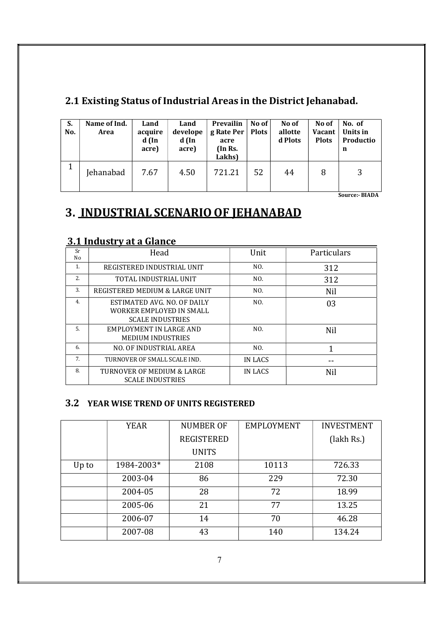| S.<br>No. | Name of Ind.<br>Area | Land<br>acquire<br>$d$ (In<br>acre) | Land<br>develope<br>d (In<br>acre) | Prevailin<br>g Rate Per   Plots<br>acre<br>(In Rs.<br>Lakhs) | No of | No of<br>allotte<br>d Plots | No of<br>Vacant<br><b>Plots</b> | No. of<br>Units in<br>Productio<br>n |
|-----------|----------------------|-------------------------------------|------------------------------------|--------------------------------------------------------------|-------|-----------------------------|---------------------------------|--------------------------------------|
| 1         | Jehanabad            | 7.67                                | 4.50                               | 721.21                                                       | 52    | 44                          | 8                               | 3                                    |

### 2.1 Existing Status of Industrial Areas in the District Jehanabad.

Source:- BIADA

# 3. INDUSTRIAL SCENARIO OF JEHANABAD

#### 3.1 Industry at a Glance

| Sr<br>No | Head                                                                               | Unit    | Particulars |
|----------|------------------------------------------------------------------------------------|---------|-------------|
| 1.       | REGISTERED INDUSTRIAL UNIT                                                         | NO.     | 312         |
| 2.       | TOTAL INDUSTRIAL UNIT                                                              | NO.     | 312         |
| 3.       | REGISTERED MEDIUM & LARGE UNIT                                                     | NO.     | Nil         |
| 4.       | ESTIMATED AVG. NO. OF DAILY<br>WORKER EMPLOYED IN SMALL<br><b>SCALE INDUSTRIES</b> | NO.     | 03          |
| .5.      | EMPLOYMENT IN LARGE AND<br><b>MEDIUM INDUSTRIES</b>                                | NO.     | Nil         |
| 6.       | NO. OF INDUSTRIAL AREA                                                             | NO.     | 1           |
| 7.       | TURNOVER OF SMALL SCALE IND.                                                       | IN LACS |             |
| 8.       | TURNOVER OF MEDIUM & LARGE<br><b>SCALE INDUSTRIES</b>                              | IN LACS | Nil         |

#### 3.2 YEAR WISE TREND OF UNITS REGISTERED

|       | YEAR       | <b>NUMBER OF</b>  | <b>EMPLOYMENT</b> | <b>INVESTMENT</b> |
|-------|------------|-------------------|-------------------|-------------------|
|       |            | <b>REGISTERED</b> |                   | (lakh Rs.)        |
|       |            | <b>UNITS</b>      |                   |                   |
| Up to | 1984-2003* | 2108              | 10113             | 726.33            |
|       | 2003-04    | 86                | 229               | 72.30             |
|       | 2004-05    | 28                | 72                | 18.99             |
|       | 2005-06    | 21                | 77                | 13.25             |
|       | 2006-07    | 14                | 70                | 46.28             |
|       | 2007-08    | 43                | 140               | 134.24            |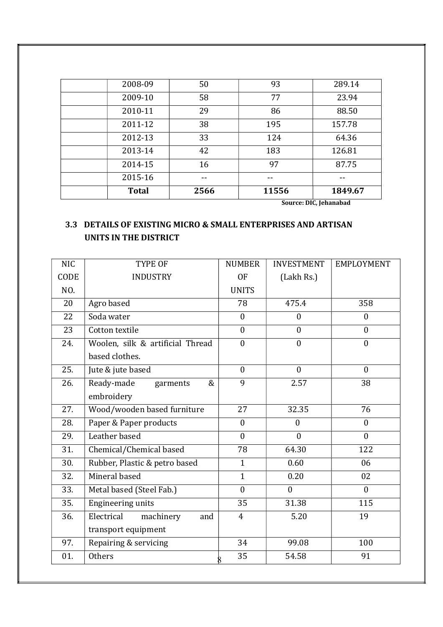|              |      | $\sim$ | .<br>--- - - |
|--------------|------|--------|--------------|
| <b>Total</b> | 2566 | 11556  | 1849.67      |
| 2015-16      | --   |        |              |
| 2014-15      | 16   | 97     | 87.75        |
| 2013-14      | 42   | 183    | 126.81       |
| 2012-13      | 33   | 124    | 64.36        |
| 2011-12      | 38   | 195    | 157.78       |
| 2010-11      | 29   | 86     | 88.50        |
| 2009-10      | 58   | 77     | 23.94        |
| 2008-09      | 50   | 93     | 289.14       |

Source: DIC, Jehanabad

#### 3.3 DETAILS OF EXISTING MICRO & SMALL ENTERPRISES AND ARTISAN UNITS IN THE DISTRICT

| <b>NIC</b> | TYPE OF                          | <b>NUMBER</b>  | <b>INVESTMENT</b> | <b>EMPLOYMENT</b> |
|------------|----------------------------------|----------------|-------------------|-------------------|
| CODE       | <b>INDUSTRY</b>                  | 0F             | (Lakh Rs.)        |                   |
| NO.        |                                  | <b>UNITS</b>   |                   |                   |
| 20         | Agro based                       | 78             | 475.4             | 358               |
| 22         | Soda water                       | $\mathbf{0}$   | $\boldsymbol{0}$  | $\overline{0}$    |
| 23         | Cotton textile                   | $\mathbf{0}$   | $\mathbf{0}$      | $\mathbf{0}$      |
| 24.        | Woolen, silk & artificial Thread | $\theta$       | $\theta$          | $\overline{0}$    |
|            | based clothes.                   |                |                   |                   |
| 25.        | Jute & jute based                | $\theta$       | $\theta$          | $\mathbf{0}$      |
| 26.        | Ready-made<br>&<br>garments      | 9              | 2.57              | 38                |
|            | embroidery                       |                |                   |                   |
| 27.        | Wood/wooden based furniture      | 27             | 32.35             | 76                |
| 28.        | Paper & Paper products           | $\mathbf{0}$   | $\mathbf{0}$      | $\mathbf{0}$      |
| 29.        | Leather based                    | $\mathbf{0}$   | $\mathbf{0}$      | $\mathbf{0}$      |
| 31.        | Chemical/Chemical based          | 78             | 64.30             | 122               |
| 30.        | Rubber, Plastic & petro based    | $\mathbf{1}$   | 0.60              | 06                |
| 32.        | Mineral based                    | $\mathbf{1}$   | 0.20              | 02                |
| 33.        | Metal based (Steel Fab.)         | $\mathbf{0}$   | $\mathbf{0}$      | $\mathbf{0}$      |
| 35.        | Engineering units                | 35             | 31.38             | 115               |
| 36.        | Electrical<br>machinery<br>and   | $\overline{4}$ | 5.20              | 19                |
|            | transport equipment              |                |                   |                   |
| 97.        | Repairing & servicing            | 34             | 99.08             | 100               |
| 01.        | <b>Others</b>                    | 35             | 54.58             | 91                |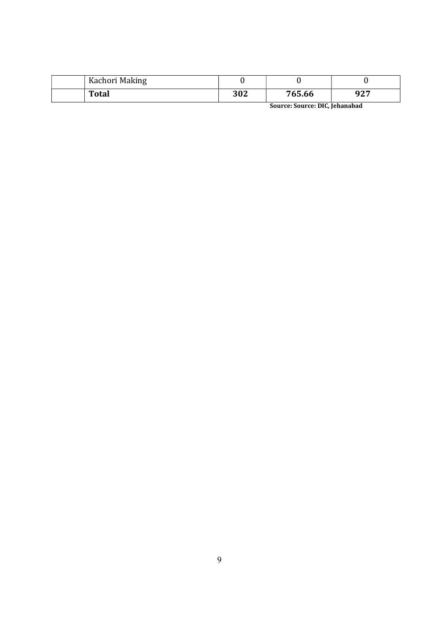| Kachori Making |     |                               |     |
|----------------|-----|-------------------------------|-----|
| <b>Total</b>   | 302 | 765.66                        | 927 |
|                |     | Course Course MIC Islamshired |     |

Source: Source: DIC, Jehanabad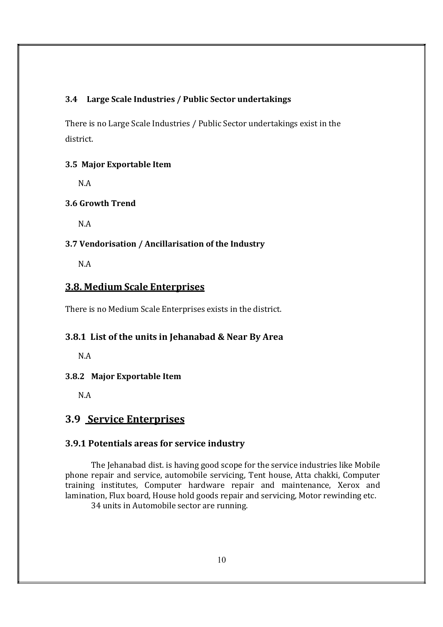#### 3.4 Large Scale Industries / Public Sector undertakings

There is no Large Scale Industries / Public Sector undertakings exist in the district.

#### 3.5 Major Exportable Item

N.A

#### 3.6 Growth Trend

N.A

#### 3.7 Vendorisation / Ancillarisation of the Industry

N.A

#### 3.8. Medium Scale Enterprises

There is no Medium Scale Enterprises exists in the district.

#### 3.8.1 List of the units in Jehanabad & Near By Area

N.A

#### 3.8.2 Major Exportable Item

N.A

#### 3.9 Service Enterprises

#### 3.9.1 Potentials areas for service industry

The Jehanabad dist. is having good scope for the service industries like Mobile phone repair and service, automobile servicing, Tent house, Atta chakki, Computer training institutes, Computer hardware repair and maintenance, Xerox and lamination, Flux board, House hold goods repair and servicing, Motor rewinding etc. 34 units in Automobile sector are running.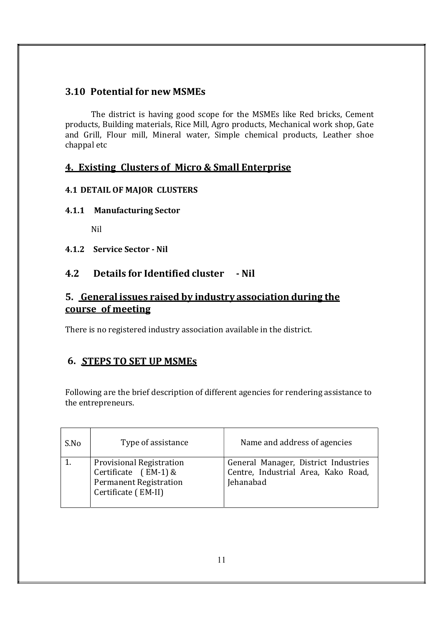#### 3.10 Potential for new MSMEs

The district is having good scope for the MSMEs like Red bricks, Cement products, Building materials, Rice Mill, Agro products, Mechanical work shop, Gate and Grill, Flour mill, Mineral water, Simple chemical products, Leather shoe chappal etc

#### 4. Existing Clusters of Micro & Small Enterprise

#### 4.1 DETAIL OF MAJOR CLUSTERS

#### 4.1.1 Manufacturing Sector

Nil

4.1.2 Service Sector - Nil

#### 4.2 Details for Identified cluster - Nil

#### 5. General issues raised by industry association during the course of meeting

There is no registered industry association available in the district.

#### 6. STEPS TO SET UP MSMEs

Following are the brief description of different agencies for rendering assistance to the entrepreneurs.

| S.No | Type of assistance                                                                                                | Name and address of agencies                                                             |
|------|-------------------------------------------------------------------------------------------------------------------|------------------------------------------------------------------------------------------|
|      | <b>Provisional Registration</b><br>Certificate $[EM-1]$ &<br><b>Permanent Registration</b><br>Certificate (EM-II) | General Manager, District Industries<br>Centre, Industrial Area, Kako Road,<br>Jehanabad |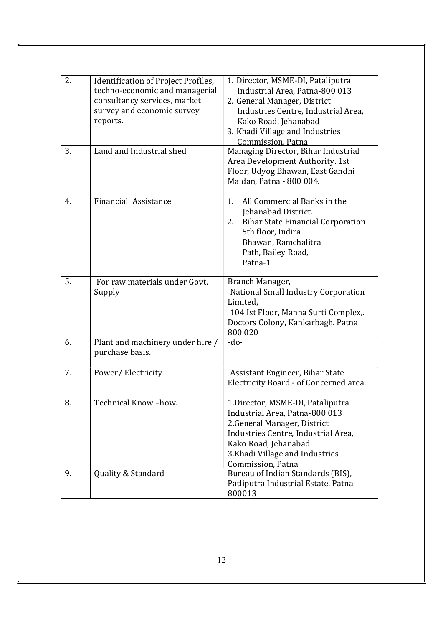| 2. | Identification of Project Profiles,<br>techno-economic and managerial<br>consultancy services, market<br>survey and economic survey<br>reports. | 1. Director, MSME-DI, Pataliputra<br>Industrial Area, Patna-800 013<br>2. General Manager, District<br>Industries Centre, Industrial Area,<br>Kako Road, Jehanabad<br>3. Khadi Village and Industries<br>Commission, Patna |
|----|-------------------------------------------------------------------------------------------------------------------------------------------------|----------------------------------------------------------------------------------------------------------------------------------------------------------------------------------------------------------------------------|
| 3. | Land and Industrial shed                                                                                                                        | Managing Director, Bihar Industrial<br>Area Development Authority. 1st<br>Floor, Udyog Bhawan, East Gandhi<br>Maidan, Patna - 800 004.                                                                                     |
| 4. | Financial Assistance                                                                                                                            | All Commercial Banks in the<br>1.<br>Jehanabad District.<br><b>Bihar State Financial Corporation</b><br>2.<br>5th floor, Indira<br>Bhawan, Ramchalitra<br>Path, Bailey Road,<br>Patna-1                                    |
| 5. | For raw materials under Govt.<br>Supply                                                                                                         | Branch Manager,<br>National Small Industry Corporation<br>Limited,<br>104 Ist Floor, Manna Surti Complex,.<br>Doctors Colony, Kankarbagh. Patna<br>800 020                                                                 |
| 6. | Plant and machinery under hire /<br>purchase basis.                                                                                             | $-do-$                                                                                                                                                                                                                     |
| 7. | Power/Electricity                                                                                                                               | Assistant Engineer, Bihar State<br>Electricity Board - of Concerned area.                                                                                                                                                  |
| 8. | Technical Know-how.                                                                                                                             | 1. Director, MSME-DI, Pataliputra<br>Industrial Area, Patna-800 013<br>2. General Manager, District<br>Industries Centre, Industrial Area,<br>Kako Road, Jehanabad<br>3. Khadi Village and Industries<br>Commission, Patna |
| 9. | Quality & Standard                                                                                                                              | Bureau of Indian Standards (BIS),<br>Patliputra Industrial Estate, Patna<br>800013                                                                                                                                         |